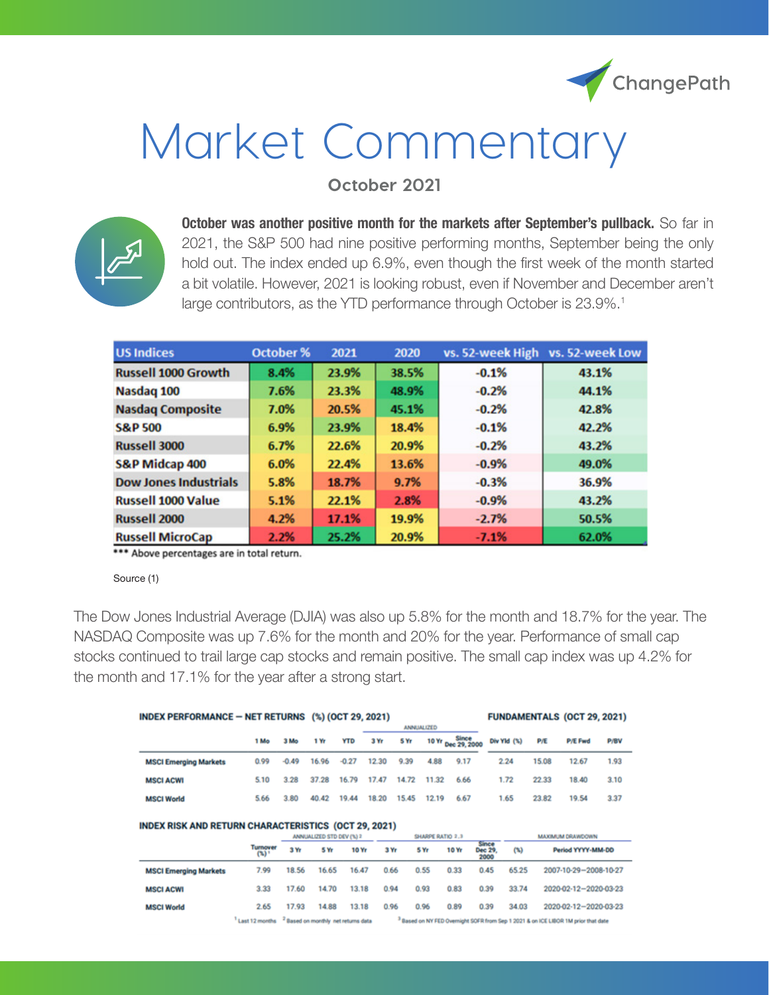

# Market Commentary

**October 2021**



**October was another positive month for the markets after September's pullback.** So far in 2021, the S&P 500 had nine positive performing months, September being the only hold out. The index ended up 6.9%, even though the first week of the month started a bit volatile. However, 2021 is looking robust, even if November and December aren't large contributors, as the YTD performance through October is 23.9%.<sup>1</sup>

| <b>US Indices</b>            | October % | 2021  | 2020  |         | vs. 52-week High vs. 52-week Low |
|------------------------------|-----------|-------|-------|---------|----------------------------------|
| <b>Russell 1000 Growth</b>   | 8.4%      | 23.9% | 38.5% | $-0.1%$ | 43.1%                            |
| Nasdaq 100                   | 7.6%      | 23.3% | 48.9% | $-0.2%$ | 44.1%                            |
| <b>Nasdaq Composite</b>      | 7.0%      | 20.5% | 45.1% | $-0.2%$ | 42.8%                            |
| <b>S&amp;P 500</b>           | 6.9%      | 23.9% | 18.4% | $-0.1%$ | 42.2%                            |
| Russell 3000                 | 6.7%      | 22.6% | 20.9% | $-0.2%$ | 43.2%                            |
| <b>S&amp;P Midcap 400</b>    | 6.0%      | 22.4% | 13.6% | $-0.9%$ | 49.0%                            |
| <b>Dow Jones Industrials</b> | 5.8%      | 18.7% | 9.7%  | $-0.3%$ | 36.9%                            |
| <b>Russell 1000 Value</b>    | 5.1%      | 22.1% | 2.8%  | $-0.9%$ | 43.2%                            |
| <b>Russell 2000</b>          | 4.2%      | 17.1% | 19.9% | $-2.7%$ | 50.5%                            |
| <b>Russell MicroCap</b>      | 2.2%      | 25.2% | 20.9% | $-7.1%$ | 62.0%                            |

\*\*\* Above percentages are in total return.

Source (1)

The Dow Jones Industrial Average (DJIA) was also up 5.8% for the month and 18.7% for the year. The NASDAQ Composite was up 7.6% for the month and 20% for the year. Performance of small cap stocks continued to trail large cap stocks and remain positive. The small cap index was up 4.2% for the month and 17.1% for the year after a strong start.

| INDEX PERFORMANCE - NET RETURNS (%) (OCT 29, 2021)                                                                              |                                                                                                                                                                   |         |       |            |                   |       |       |                       | <b>FUNDAMENTALS (OCT 29, 2021)</b> |       |                       |      |
|---------------------------------------------------------------------------------------------------------------------------------|-------------------------------------------------------------------------------------------------------------------------------------------------------------------|---------|-------|------------|-------------------|-------|-------|-----------------------|------------------------------------|-------|-----------------------|------|
|                                                                                                                                 |                                                                                                                                                                   |         |       |            | <b>ANNUALIZED</b> |       |       |                       |                                    |       |                       |      |
|                                                                                                                                 | 1 Mo                                                                                                                                                              | 3 Mo    | 1 Yr  | <b>YTD</b> | 3 Yr              | 5 Yr  | 10 Yr | Since<br>Dec 29, 2000 | Div Yld (%)                        | P/E   | <b>P/E Fwd</b>        | P/BV |
| <b>MSCI Emerging Markets</b>                                                                                                    | 0.99                                                                                                                                                              | $-0.49$ | 16.96 | $-0.27$    | 12.30             | 9.39  | 4.88  | 9.17                  | 2.24                               | 15.08 | 12.67                 | 1.93 |
| <b>MSCI ACWI</b>                                                                                                                | 5.10                                                                                                                                                              | 3.28    | 37.28 | 16.79      | 17.47             | 14.72 | 11.32 | 6.66                  | 1.72                               | 22.33 | 18.40                 | 3.10 |
| <b>MSCI World</b>                                                                                                               | 5.66                                                                                                                                                              | 3.80    | 40.42 | 19.44      | 18.20             | 15.45 | 12.19 | 6.67                  | 1.65                               | 23.82 | 19.54                 | 3.37 |
| <b>INDEX RISK AND RETURN CHARACTERISTICS (OCT 29, 2021)</b><br>SHARPE RATIO 2.3<br>ANNUALIZED STD DEV (%) 2<br>MAXIMUM DRAWDOWN |                                                                                                                                                                   |         |       |            |                   |       |       |                       |                                    |       |                       |      |
|                                                                                                                                 | Turnover<br>(5)                                                                                                                                                   | 3 Yr    | 5 Yr  | 10 Yr      | 3 Yr              |       | 5 Yr  | 10 Yr                 | Since<br>(1)<br>Dec 29.<br>2000    |       | Period YYYY-MM-DD     |      |
| <b>MSCI Emerging Markets</b>                                                                                                    | 7.99                                                                                                                                                              | 18.56   | 16.65 | 16.47      | 0.66              |       | 0.55  | 0.33                  | 0.45<br>65.25                      |       | 2007-10-29-2008-10-27 |      |
| <b>MSCI ACWI</b>                                                                                                                | 3.33                                                                                                                                                              | 17.60   | 14.70 | 13.18      | 0.94              |       | 0.93  | 0.83                  | 0.39<br>33.74                      |       | 2020-02-12-2020-03-23 |      |
| <b>MSCI World</b>                                                                                                               | 2.65                                                                                                                                                              | 17.93   | 14.88 | 13.18      | 0.96              |       | 0.96  | 0.89                  | 0.39<br>34.03                      |       | 2020-02-12-2020-03-23 |      |
|                                                                                                                                 | <sup>2</sup> Based on monthly net returns data<br><sup>3</sup> Based on NY FED Overnight SOFR from Sep 1 2021 & on ICE LIBOR 1M prior that date<br>Last 12 months |         |       |            |                   |       |       |                       |                                    |       |                       |      |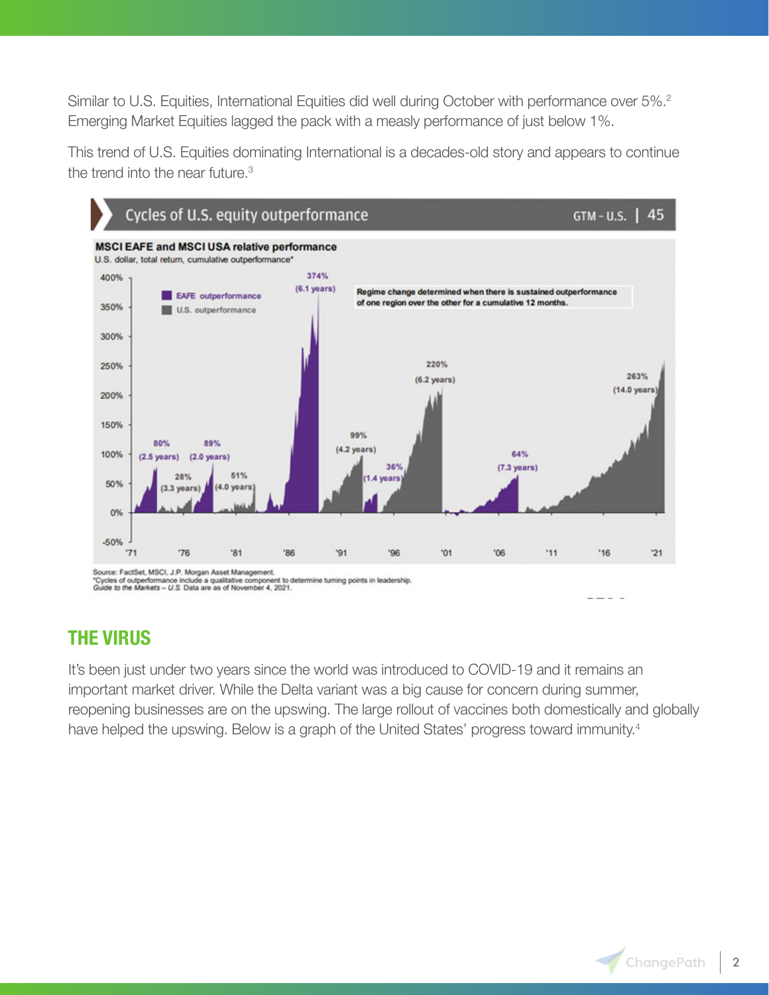Similar to U.S. Equities, International Equities did well during October with performance over 5%.<sup>2</sup> Emerging Market Equities lagged the pack with a measly performance of just below 1%.

This trend of U.S. Equities dominating International is a decades-old story and appears to continue the trend into the near future.<sup>3</sup>



### **THE VIRUS**

It's been just under two years since the world was introduced to COVID-19 and it remains an important market driver. While the Delta variant was a big cause for concern during summer, reopening businesses are on the upswing. The large rollout of vaccines both domestically and globally have helped the upswing. Below is a graph of the United States' progress toward immunity.<sup>4</sup>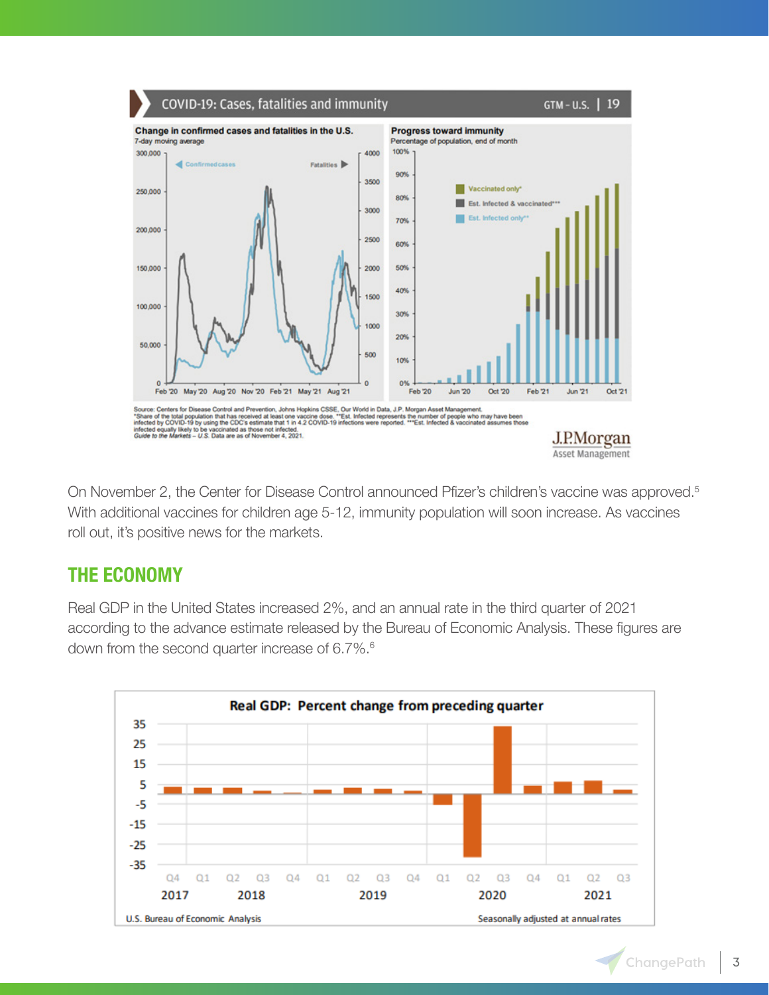

On November 2, the Center for Disease Control announced Pfizer's children's vaccine was approved.<sup>5</sup> With additional vaccines for children age 5-12, immunity population will soon increase. As vaccines roll out, it's positive news for the markets.

## **THE ECONOMY**

Real GDP in the United States increased 2%, and an annual rate in the third quarter of 2021 according to the advance estimate released by the Bureau of Economic Analysis. These figures are down from the second quarter increase of 6.7%.<sup>6</sup>

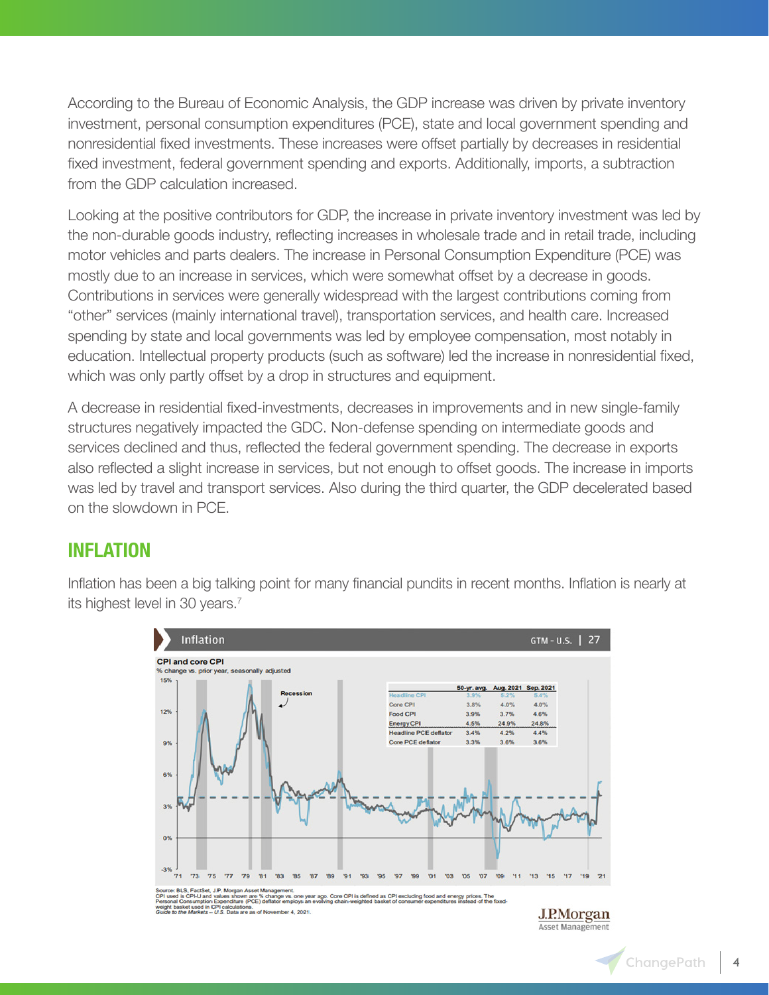According to the Bureau of Economic Analysis, the GDP increase was driven by private inventory investment, personal consumption expenditures (PCE), state and local government spending and nonresidential fixed investments. These increases were offset partially by decreases in residential fixed investment, federal government spending and exports. Additionally, imports, a subtraction from the GDP calculation increased.

Looking at the positive contributors for GDP, the increase in private inventory investment was led by the non-durable goods industry, reflecting increases in wholesale trade and in retail trade, including motor vehicles and parts dealers. The increase in Personal Consumption Expenditure (PCE) was mostly due to an increase in services, which were somewhat offset by a decrease in goods. Contributions in services were generally widespread with the largest contributions coming from "other" services (mainly international travel), transportation services, and health care. Increased spending by state and local governments was led by employee compensation, most notably in education. Intellectual property products (such as software) led the increase in nonresidential fixed, which was only partly offset by a drop in structures and equipment.

A decrease in residential fixed-investments, decreases in improvements and in new single-family structures negatively impacted the GDC. Non-defense spending on intermediate goods and services declined and thus, reflected the federal government spending. The decrease in exports also reflected a slight increase in services, but not enough to offset goods. The increase in imports was led by travel and transport services. Also during the third quarter, the GDP decelerated based on the slowdown in PCE.

#### **INFLATION**

Inflation has been a big talking point for many financial pundits in recent months. Inflation is nearly at its highest level in 30 years.<sup>7</sup>

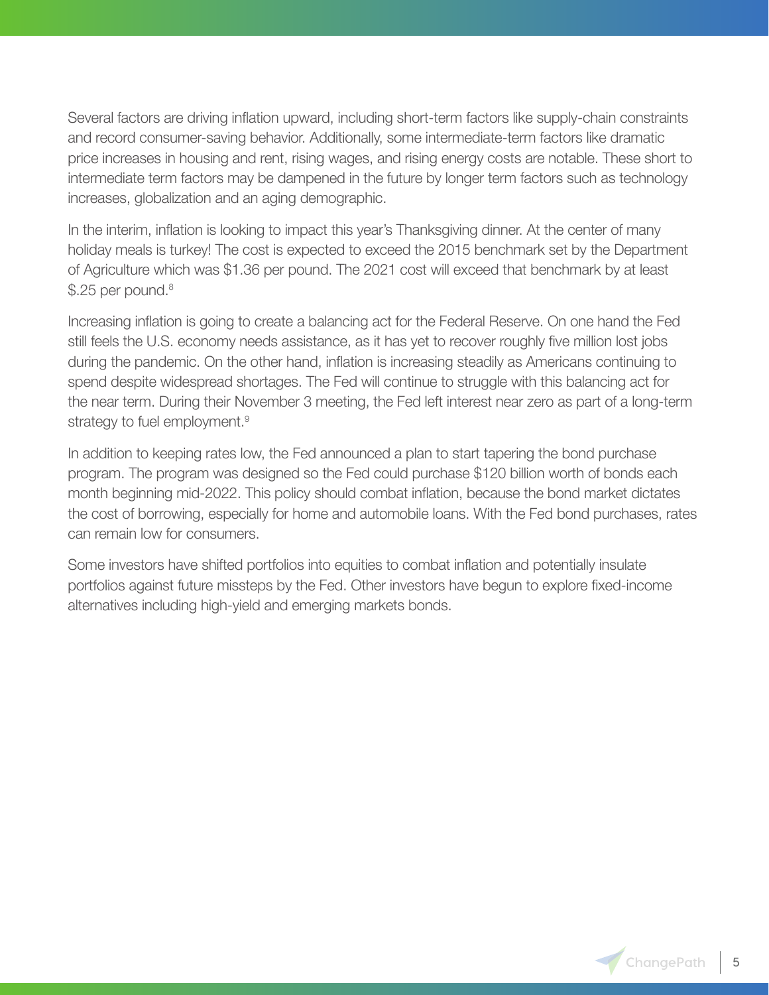Several factors are driving inflation upward, including short-term factors like supply-chain constraints and record consumer-saving behavior. Additionally, some intermediate-term factors like dramatic price increases in housing and rent, rising wages, and rising energy costs are notable. These short to intermediate term factors may be dampened in the future by longer term factors such as technology increases, globalization and an aging demographic.

In the interim, inflation is looking to impact this year's Thanksgiving dinner. At the center of many holiday meals is turkey! The cost is expected to exceed the 2015 benchmark set by the Department of Agriculture which was \$1.36 per pound. The 2021 cost will exceed that benchmark by at least \$.25 per pound.<sup>8</sup>

Increasing inflation is going to create a balancing act for the Federal Reserve. On one hand the Fed still feels the U.S. economy needs assistance, as it has yet to recover roughly five million lost jobs during the pandemic. On the other hand, inflation is increasing steadily as Americans continuing to spend despite widespread shortages. The Fed will continue to struggle with this balancing act for the near term. During their November 3 meeting, the Fed left interest near zero as part of a long-term strategy to fuel employment.<sup>9</sup>

In addition to keeping rates low, the Fed announced a plan to start tapering the bond purchase program. The program was designed so the Fed could purchase \$120 billion worth of bonds each month beginning mid-2022. This policy should combat inflation, because the bond market dictates the cost of borrowing, especially for home and automobile loans. With the Fed bond purchases, rates can remain low for consumers.

Some investors have shifted portfolios into equities to combat inflation and potentially insulate portfolios against future missteps by the Fed. Other investors have begun to explore fixed-income alternatives including high-yield and emerging markets bonds.

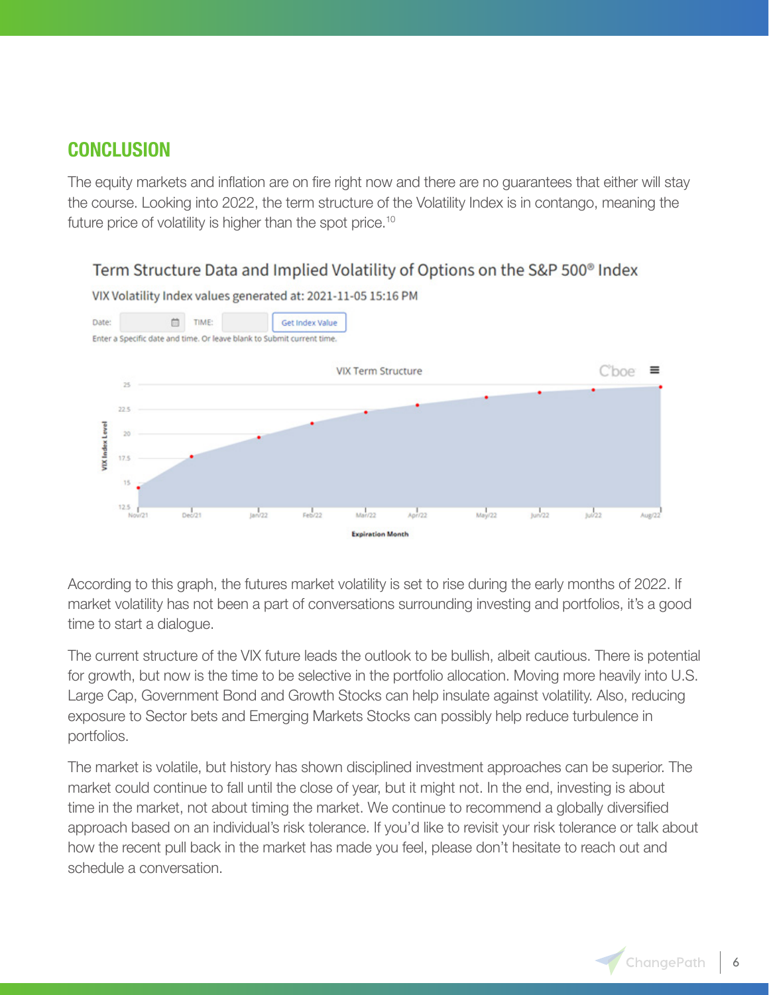## **CONCLUSION**

The equity markets and inflation are on fire right now and there are no guarantees that either will stay the course. Looking into 2022, the term structure of the Volatility Index is in contango, meaning the future price of volatility is higher than the spot price.<sup>10</sup>

#### Term Structure Data and Implied Volatility of Options on the S&P 500<sup>®</sup> Index



VIX Volatility Index values generated at: 2021-11-05 15:16 PM

According to this graph, the futures market volatility is set to rise during the early months of 2022. If market volatility has not been a part of conversations surrounding investing and portfolios, it's a good time to start a dialogue.

The current structure of the VIX future leads the outlook to be bullish, albeit cautious. There is potential for growth, but now is the time to be selective in the portfolio allocation. Moving more heavily into U.S. Large Cap, Government Bond and Growth Stocks can help insulate against volatility. Also, reducing exposure to Sector bets and Emerging Markets Stocks can possibly help reduce turbulence in portfolios.

The market is volatile, but history has shown disciplined investment approaches can be superior. The market could continue to fall until the close of year, but it might not. In the end, investing is about time in the market, not about timing the market. We continue to recommend a globally diversified approach based on an individual's risk tolerance. If you'd like to revisit your risk tolerance or talk about how the recent pull back in the market has made you feel, please don't hesitate to reach out and schedule a conversation.